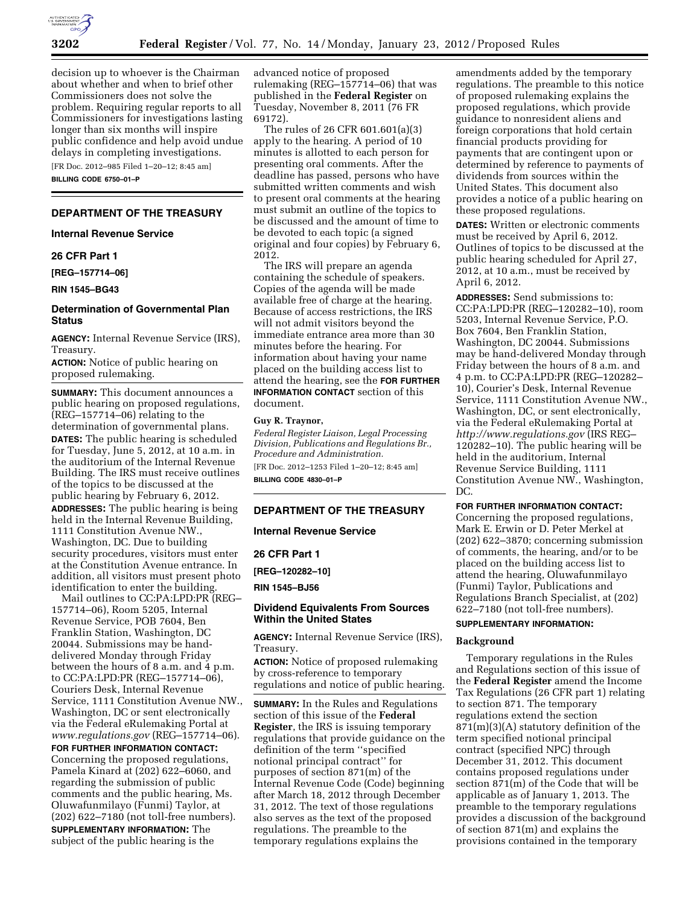

decision up to whoever is the Chairman about whether and when to brief other Commissioners does not solve the problem. Requiring regular reports to all Commissioners for investigations lasting longer than six months will inspire public confidence and help avoid undue delays in completing investigations. [FR Doc. 2012–985 Filed 1–20–12; 8:45 am] **BILLING CODE 6750–01–P** 

**DEPARTMENT OF THE TREASURY** 

**Internal Revenue Service** 

# **26 CFR Part 1**

**[REG–157714–06]** 

**RIN 1545–BG43** 

# **Determination of Governmental Plan Status**

**AGENCY:** Internal Revenue Service (IRS), Treasury.

**ACTION:** Notice of public hearing on proposed rulemaking.

**SUMMARY:** This document announces a public hearing on proposed regulations, (REG–157714–06) relating to the determination of governmental plans. **DATES:** The public hearing is scheduled for Tuesday, June 5, 2012, at 10 a.m. in the auditorium of the Internal Revenue Building. The IRS must receive outlines of the topics to be discussed at the public hearing by February 6, 2012. **ADDRESSES:** The public hearing is being held in the Internal Revenue Building, 1111 Constitution Avenue NW., Washington, DC. Due to building security procedures, visitors must enter at the Constitution Avenue entrance. In addition, all visitors must present photo identification to enter the building.

Mail outlines to CC:PA:LPD:PR (REG– 157714–06), Room 5205, Internal Revenue Service, POB 7604, Ben Franklin Station, Washington, DC 20044. Submissions may be handdelivered Monday through Friday between the hours of 8 a.m. and 4 p.m. to CC:PA:LPD:PR (REG–157714–06), Couriers Desk, Internal Revenue Service, 1111 Constitution Avenue NW., Washington, DC or sent electronically via the Federal eRulemaking Portal at *[www.regulations.gov](http://www.regulations.gov)* (REG–157714–06).

**FOR FURTHER INFORMATION CONTACT:**  Concerning the proposed regulations, Pamela Kinard at (202) 622–6060, and regarding the submission of public comments and the public hearing, Ms. Oluwafunmilayo (Funmi) Taylor, at (202) 622–7180 (not toll-free numbers). **SUPPLEMENTARY INFORMATION:** The subject of the public hearing is the

advanced notice of proposed rulemaking (REG–157714–06) that was published in the **Federal Register** on Tuesday, November 8, 2011 (76 FR 69172).

The rules of 26 CFR 601.601(a)(3) apply to the hearing. A period of 10 minutes is allotted to each person for presenting oral comments. After the deadline has passed, persons who have submitted written comments and wish to present oral comments at the hearing must submit an outline of the topics to be discussed and the amount of time to be devoted to each topic (a signed original and four copies) by February 6, 2012.

The IRS will prepare an agenda containing the schedule of speakers. Copies of the agenda will be made available free of charge at the hearing. Because of access restrictions, the IRS will not admit visitors beyond the immediate entrance area more than 30 minutes before the hearing. For information about having your name placed on the building access list to attend the hearing, see the **FOR FURTHER INFORMATION CONTACT** section of this document.

# **Guy R. Traynor,**

*Federal Register Liaison, Legal Processing Division, Publications and Regulations Br., Procedure and Administration.*  [FR Doc. 2012–1253 Filed 1–20–12; 8:45 am]

**BILLING CODE 4830–01–P** 

# **DEPARTMENT OF THE TREASURY**

**Internal Revenue Service** 

**26 CFR Part 1** 

**[REG–120282–10]** 

**RIN 1545–BJ56** 

# **Dividend Equivalents From Sources Within the United States**

**AGENCY:** Internal Revenue Service (IRS), Treasury.

**ACTION:** Notice of proposed rulemaking by cross-reference to temporary regulations and notice of public hearing.

**SUMMARY:** In the Rules and Regulations section of this issue of the **Federal Register**, the IRS is issuing temporary regulations that provide guidance on the definition of the term ''specified notional principal contract'' for purposes of section 871(m) of the Internal Revenue Code (Code) beginning after March 18, 2012 through December 31, 2012. The text of those regulations also serves as the text of the proposed regulations. The preamble to the temporary regulations explains the

amendments added by the temporary regulations. The preamble to this notice of proposed rulemaking explains the proposed regulations, which provide guidance to nonresident aliens and foreign corporations that hold certain financial products providing for payments that are contingent upon or determined by reference to payments of dividends from sources within the United States. This document also provides a notice of a public hearing on these proposed regulations.

**DATES:** Written or electronic comments must be received by April 6, 2012. Outlines of topics to be discussed at the public hearing scheduled for April 27, 2012, at 10 a.m., must be received by April 6, 2012.

**ADDRESSES:** Send submissions to: CC:PA:LPD:PR (REG–120282–10), room 5203, Internal Revenue Service, P.O. Box 7604, Ben Franklin Station, Washington, DC 20044. Submissions may be hand-delivered Monday through Friday between the hours of 8 a.m. and 4 p.m. to CC:PA:LPD:PR (REG–120282– 10), Courier's Desk, Internal Revenue Service, 1111 Constitution Avenue NW., Washington, DC, or sent electronically, via the Federal eRulemaking Portal at *<http://www.regulations.gov>* (IRS REG– 120282–10). The public hearing will be held in the auditorium, Internal Revenue Service Building, 1111 Constitution Avenue NW., Washington, DC.

**FOR FURTHER INFORMATION CONTACT:** 

Concerning the proposed regulations, Mark E. Erwin or D. Peter Merkel at (202) 622–3870; concerning submission of comments, the hearing, and/or to be placed on the building access list to attend the hearing, Oluwafunmilayo (Funmi) Taylor, Publications and Regulations Branch Specialist, at (202) 622–7180 (not toll-free numbers).

## **SUPPLEMENTARY INFORMATION:**

#### **Background**

Temporary regulations in the Rules and Regulations section of this issue of the **Federal Register** amend the Income Tax Regulations (26 CFR part 1) relating to section 871. The temporary regulations extend the section 871(m)(3)(A) statutory definition of the term specified notional principal contract (specified NPC) through December 31, 2012. This document contains proposed regulations under section 871(m) of the Code that will be applicable as of January 1, 2013. The preamble to the temporary regulations provides a discussion of the background of section 871(m) and explains the provisions contained in the temporary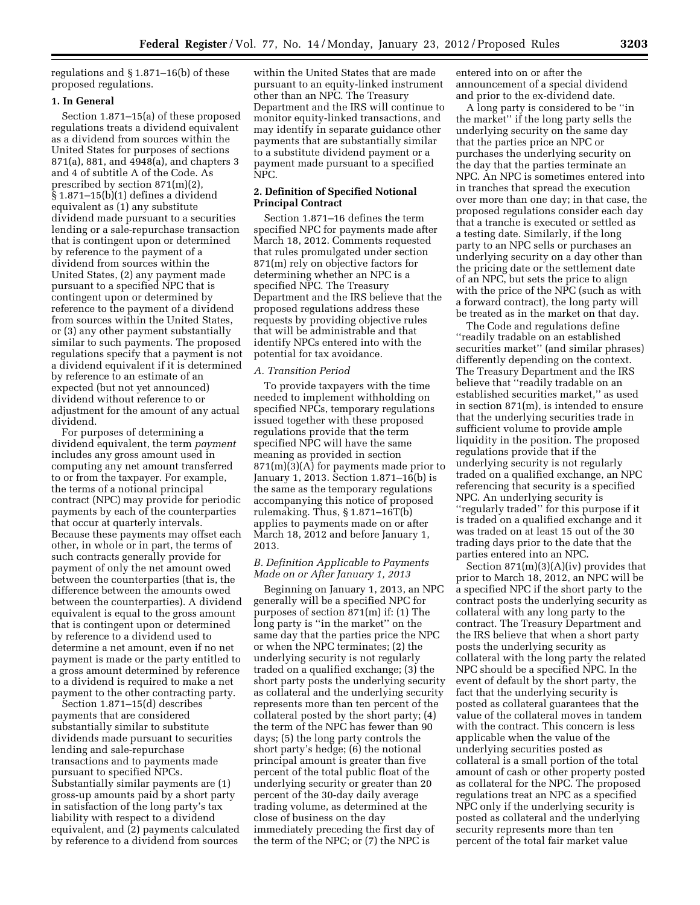regulations and § 1.871–16(b) of these proposed regulations.

#### **1. In General**

Section 1.871–15(a) of these proposed regulations treats a dividend equivalent as a dividend from sources within the United States for purposes of sections 871(a), 881, and 4948(a), and chapters 3 and 4 of subtitle A of the Code. As prescribed by section 871(m)(2), § 1.871–15(b)(1) defines a dividend equivalent as (1) any substitute dividend made pursuant to a securities lending or a sale-repurchase transaction that is contingent upon or determined by reference to the payment of a dividend from sources within the United States, (2) any payment made pursuant to a specified NPC that is contingent upon or determined by reference to the payment of a dividend from sources within the United States, or (3) any other payment substantially similar to such payments. The proposed regulations specify that a payment is not a dividend equivalent if it is determined by reference to an estimate of an expected (but not yet announced) dividend without reference to or adjustment for the amount of any actual dividend.

For purposes of determining a dividend equivalent, the term *payment*  includes any gross amount used in computing any net amount transferred to or from the taxpayer. For example, the terms of a notional principal contract (NPC) may provide for periodic payments by each of the counterparties that occur at quarterly intervals. Because these payments may offset each other, in whole or in part, the terms of such contracts generally provide for payment of only the net amount owed between the counterparties (that is, the difference between the amounts owed between the counterparties). A dividend equivalent is equal to the gross amount that is contingent upon or determined by reference to a dividend used to determine a net amount, even if no net payment is made or the party entitled to a gross amount determined by reference to a dividend is required to make a net payment to the other contracting party.

Section 1.871–15(d) describes payments that are considered substantially similar to substitute dividends made pursuant to securities lending and sale-repurchase transactions and to payments made pursuant to specified NPCs. Substantially similar payments are (1) gross-up amounts paid by a short party in satisfaction of the long party's tax liability with respect to a dividend equivalent, and (2) payments calculated by reference to a dividend from sources

within the United States that are made pursuant to an equity-linked instrument other than an NPC. The Treasury Department and the IRS will continue to monitor equity-linked transactions, and may identify in separate guidance other payments that are substantially similar to a substitute dividend payment or a payment made pursuant to a specified NPC.

#### **2. Definition of Specified Notional Principal Contract**

Section 1.871–16 defines the term specified NPC for payments made after March 18, 2012. Comments requested that rules promulgated under section 871(m) rely on objective factors for determining whether an NPC is a specified NPC. The Treasury Department and the IRS believe that the proposed regulations address these requests by providing objective rules that will be administrable and that identify NPCs entered into with the potential for tax avoidance.

#### *A. Transition Period*

To provide taxpayers with the time needed to implement withholding on specified NPCs, temporary regulations issued together with these proposed regulations provide that the term specified NPC will have the same meaning as provided in section 871(m)(3)(A) for payments made prior to January 1, 2013. Section 1.871–16(b) is the same as the temporary regulations accompanying this notice of proposed rulemaking. Thus, § 1.871–16T(b) applies to payments made on or after March 18, 2012 and before January 1, 2013.

# *B. Definition Applicable to Payments Made on or After January 1, 2013*

Beginning on January 1, 2013, an NPC generally will be a specified NPC for purposes of section 871(m) if: (1) The long party is ''in the market'' on the same day that the parties price the NPC or when the NPC terminates; (2) the underlying security is not regularly traded on a qualified exchange; (3) the short party posts the underlying security as collateral and the underlying security represents more than ten percent of the collateral posted by the short party; (4) the term of the NPC has fewer than 90 days; (5) the long party controls the short party's hedge; (6) the notional principal amount is greater than five percent of the total public float of the underlying security or greater than 20 percent of the 30-day daily average trading volume, as determined at the close of business on the day immediately preceding the first day of the term of the NPC; or (7) the NPC is

entered into on or after the announcement of a special dividend and prior to the ex-dividend date.

A long party is considered to be ''in the market'' if the long party sells the underlying security on the same day that the parties price an NPC or purchases the underlying security on the day that the parties terminate an NPC. An NPC is sometimes entered into in tranches that spread the execution over more than one day; in that case, the proposed regulations consider each day that a tranche is executed or settled as a testing date. Similarly, if the long party to an NPC sells or purchases an underlying security on a day other than the pricing date or the settlement date of an NPC, but sets the price to align with the price of the NPC (such as with a forward contract), the long party will be treated as in the market on that day.

The Code and regulations define ''readily tradable on an established securities market'' (and similar phrases) differently depending on the context. The Treasury Department and the IRS believe that ''readily tradable on an established securities market,'' as used in section 871(m), is intended to ensure that the underlying securities trade in sufficient volume to provide ample liquidity in the position. The proposed regulations provide that if the underlying security is not regularly traded on a qualified exchange, an NPC referencing that security is a specified NPC. An underlying security is ''regularly traded'' for this purpose if it is traded on a qualified exchange and it was traded on at least 15 out of the 30 trading days prior to the date that the parties entered into an NPC.

Section  $871(m)(3)(A)(iv)$  provides that prior to March 18, 2012, an NPC will be a specified NPC if the short party to the contract posts the underlying security as collateral with any long party to the contract. The Treasury Department and the IRS believe that when a short party posts the underlying security as collateral with the long party the related NPC should be a specified NPC. In the event of default by the short party, the fact that the underlying security is posted as collateral guarantees that the value of the collateral moves in tandem with the contract. This concern is less applicable when the value of the underlying securities posted as collateral is a small portion of the total amount of cash or other property posted as collateral for the NPC. The proposed regulations treat an NPC as a specified NPC only if the underlying security is posted as collateral and the underlying security represents more than ten percent of the total fair market value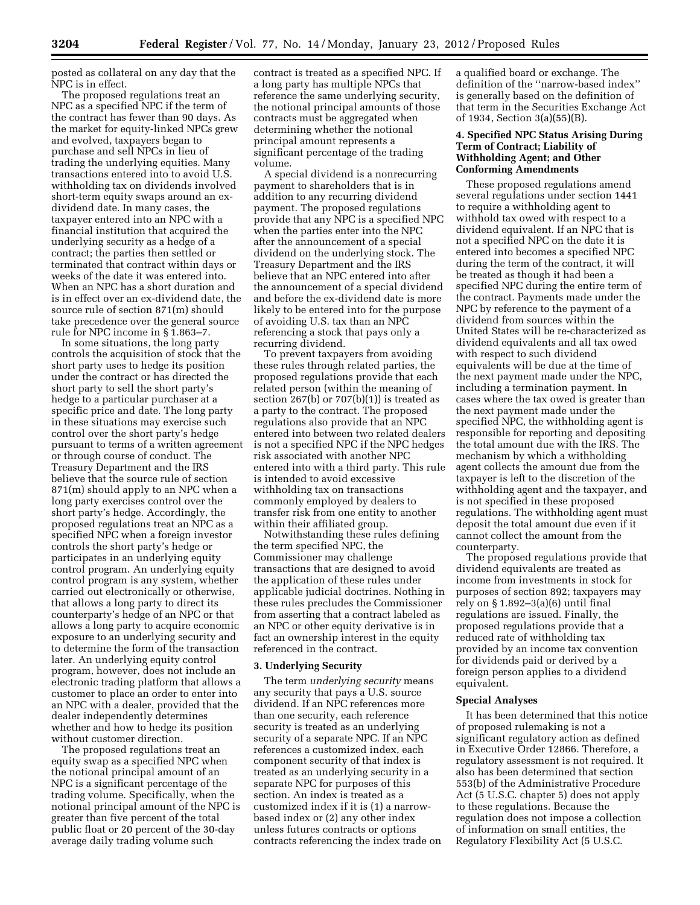posted as collateral on any day that the NPC is in effect.

The proposed regulations treat an NPC as a specified NPC if the term of the contract has fewer than 90 days. As the market for equity-linked NPCs grew and evolved, taxpayers began to purchase and sell NPCs in lieu of trading the underlying equities. Many transactions entered into to avoid U.S. withholding tax on dividends involved short-term equity swaps around an exdividend date. In many cases, the taxpayer entered into an NPC with a financial institution that acquired the underlying security as a hedge of a contract; the parties then settled or terminated that contract within days or weeks of the date it was entered into. When an NPC has a short duration and is in effect over an ex-dividend date, the source rule of section 871(m) should take precedence over the general source rule for NPC income in § 1.863-7.

In some situations, the long party controls the acquisition of stock that the short party uses to hedge its position under the contract or has directed the short party to sell the short party's hedge to a particular purchaser at a specific price and date. The long party in these situations may exercise such control over the short party's hedge pursuant to terms of a written agreement or through course of conduct. The Treasury Department and the IRS believe that the source rule of section 871(m) should apply to an NPC when a long party exercises control over the short party's hedge. Accordingly, the proposed regulations treat an NPC as a specified NPC when a foreign investor controls the short party's hedge or participates in an underlying equity control program. An underlying equity control program is any system, whether carried out electronically or otherwise, that allows a long party to direct its counterparty's hedge of an NPC or that allows a long party to acquire economic exposure to an underlying security and to determine the form of the transaction later. An underlying equity control program, however, does not include an electronic trading platform that allows a customer to place an order to enter into an NPC with a dealer, provided that the dealer independently determines whether and how to hedge its position without customer direction.

The proposed regulations treat an equity swap as a specified NPC when the notional principal amount of an NPC is a significant percentage of the trading volume. Specifically, when the notional principal amount of the NPC is greater than five percent of the total public float or 20 percent of the 30-day average daily trading volume such

contract is treated as a specified NPC. If a long party has multiple NPCs that reference the same underlying security, the notional principal amounts of those contracts must be aggregated when determining whether the notional principal amount represents a significant percentage of the trading volume.

A special dividend is a nonrecurring payment to shareholders that is in addition to any recurring dividend payment. The proposed regulations provide that any NPC is a specified NPC when the parties enter into the NPC after the announcement of a special dividend on the underlying stock. The Treasury Department and the IRS believe that an NPC entered into after the announcement of a special dividend and before the ex-dividend date is more likely to be entered into for the purpose of avoiding U.S. tax than an NPC referencing a stock that pays only a recurring dividend.

To prevent taxpayers from avoiding these rules through related parties, the proposed regulations provide that each related person (within the meaning of section  $267(b)$  or  $707(b)(1)$ ) is treated as a party to the contract. The proposed regulations also provide that an NPC entered into between two related dealers is not a specified NPC if the NPC hedges risk associated with another NPC entered into with a third party. This rule is intended to avoid excessive withholding tax on transactions commonly employed by dealers to transfer risk from one entity to another within their affiliated group.

Notwithstanding these rules defining the term specified NPC, the Commissioner may challenge transactions that are designed to avoid the application of these rules under applicable judicial doctrines. Nothing in these rules precludes the Commissioner from asserting that a contract labeled as an NPC or other equity derivative is in fact an ownership interest in the equity referenced in the contract.

## **3. Underlying Security**

The term *underlying security* means any security that pays a U.S. source dividend. If an NPC references more than one security, each reference security is treated as an underlying security of a separate NPC. If an NPC references a customized index, each component security of that index is treated as an underlying security in a separate NPC for purposes of this section. An index is treated as a customized index if it is (1) a narrowbased index or (2) any other index unless futures contracts or options contracts referencing the index trade on a qualified board or exchange. The definition of the ''narrow-based index'' is generally based on the definition of that term in the Securities Exchange Act of 1934, Section 3(a)(55)(B).

# **4. Specified NPC Status Arising During Term of Contract; Liability of Withholding Agent; and Other Conforming Amendments**

These proposed regulations amend several regulations under section 1441 to require a withholding agent to withhold tax owed with respect to a dividend equivalent. If an NPC that is not a specified NPC on the date it is entered into becomes a specified NPC during the term of the contract, it will be treated as though it had been a specified NPC during the entire term of the contract. Payments made under the NPC by reference to the payment of a dividend from sources within the United States will be re-characterized as dividend equivalents and all tax owed with respect to such dividend equivalents will be due at the time of the next payment made under the NPC, including a termination payment. In cases where the tax owed is greater than the next payment made under the specified NPC, the withholding agent is responsible for reporting and depositing the total amount due with the IRS. The mechanism by which a withholding agent collects the amount due from the taxpayer is left to the discretion of the withholding agent and the taxpayer, and is not specified in these proposed regulations. The withholding agent must deposit the total amount due even if it cannot collect the amount from the counterparty.

The proposed regulations provide that dividend equivalents are treated as income from investments in stock for purposes of section 892; taxpayers may rely on § 1.892–3(a)(6) until final regulations are issued. Finally, the proposed regulations provide that a reduced rate of withholding tax provided by an income tax convention for dividends paid or derived by a foreign person applies to a dividend equivalent.

#### **Special Analyses**

It has been determined that this notice of proposed rulemaking is not a significant regulatory action as defined in Executive Order 12866. Therefore, a regulatory assessment is not required. It also has been determined that section 553(b) of the Administrative Procedure Act (5 U.S.C. chapter 5) does not apply to these regulations. Because the regulation does not impose a collection of information on small entities, the Regulatory Flexibility Act (5 U.S.C.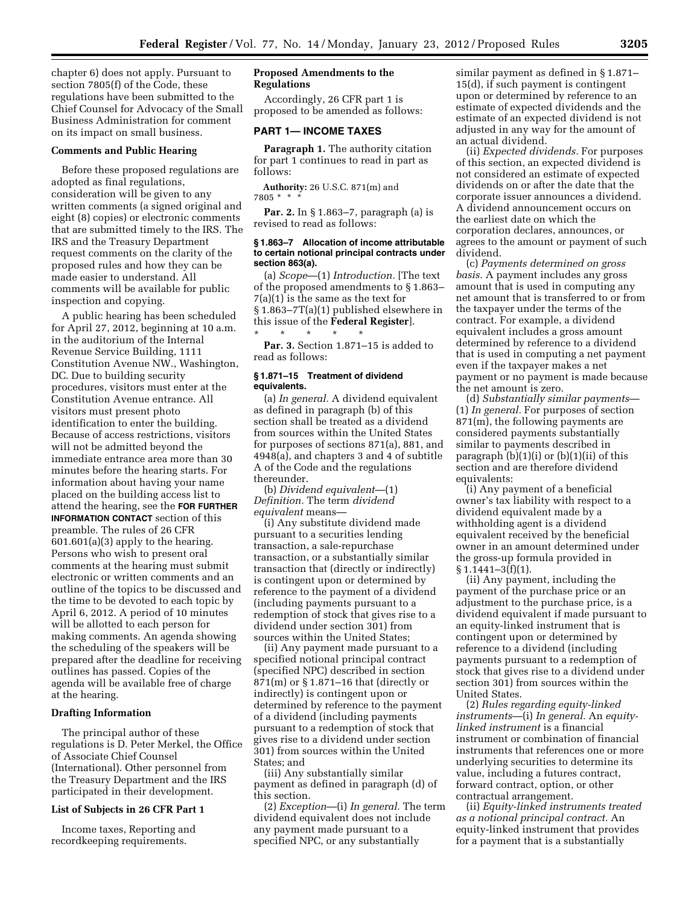chapter 6) does not apply. Pursuant to section 7805(f) of the Code, these regulations have been submitted to the Chief Counsel for Advocacy of the Small Business Administration for comment on its impact on small business.

#### **Comments and Public Hearing**

Before these proposed regulations are adopted as final regulations, consideration will be given to any written comments (a signed original and eight (8) copies) or electronic comments that are submitted timely to the IRS. The IRS and the Treasury Department request comments on the clarity of the proposed rules and how they can be made easier to understand. All comments will be available for public inspection and copying.

A public hearing has been scheduled for April 27, 2012, beginning at 10 a.m. in the auditorium of the Internal Revenue Service Building, 1111 Constitution Avenue NW., Washington, DC. Due to building security procedures, visitors must enter at the Constitution Avenue entrance. All visitors must present photo identification to enter the building. Because of access restrictions, visitors will not be admitted beyond the immediate entrance area more than 30 minutes before the hearing starts. For information about having your name placed on the building access list to attend the hearing, see the **FOR FURTHER INFORMATION CONTACT** section of this preamble. The rules of 26 CFR 601.601(a)(3) apply to the hearing. Persons who wish to present oral comments at the hearing must submit electronic or written comments and an outline of the topics to be discussed and the time to be devoted to each topic by April 6, 2012. A period of 10 minutes will be allotted to each person for making comments. An agenda showing the scheduling of the speakers will be prepared after the deadline for receiving outlines has passed. Copies of the agenda will be available free of charge at the hearing.

#### **Drafting Information**

The principal author of these regulations is D. Peter Merkel, the Office of Associate Chief Counsel (International). Other personnel from the Treasury Department and the IRS participated in their development.

#### **List of Subjects in 26 CFR Part 1**

Income taxes, Reporting and recordkeeping requirements.

# **Proposed Amendments to the Regulations**

Accordingly, 26 CFR part 1 is proposed to be amended as follows:

#### **PART 1— INCOME TAXES**

**Paragraph 1.** The authority citation for part 1 continues to read in part as follows:

**Authority:** 26 U.S.C. 871(m) and 7805 \* \* \*

**Par. 2.** In § 1.863–7, paragraph (a) is revised to read as follows:

#### **§ 1.863–7 Allocation of income attributable to certain notional principal contracts under section 863(a).**

(a) *Scope*—(1) *Introduction.* [The text of the proposed amendments to § 1.863– 7(a)(1) is the same as the text for § 1.863–7T(a)(1) published elsewhere in this issue of the **Federal Register**].

\* \* \* \* \* **Par. 3.** Section 1.871–15 is added to read as follows:

#### **§ 1.871–15 Treatment of dividend equivalents.**

(a) *In general.* A dividend equivalent as defined in paragraph (b) of this section shall be treated as a dividend from sources within the United States for purposes of sections 871(a), 881, and 4948(a), and chapters 3 and 4 of subtitle A of the Code and the regulations thereunder.

(b) *Dividend equivalent*—(1) *Definition.* The term *dividend equivalent* means—

(i) Any substitute dividend made pursuant to a securities lending transaction, a sale-repurchase transaction, or a substantially similar transaction that (directly or indirectly) is contingent upon or determined by reference to the payment of a dividend (including payments pursuant to a redemption of stock that gives rise to a dividend under section 301) from sources within the United States;

(ii) Any payment made pursuant to a specified notional principal contract (specified NPC) described in section 871(m) or § 1.871–16 that (directly or indirectly) is contingent upon or determined by reference to the payment of a dividend (including payments pursuant to a redemption of stock that gives rise to a dividend under section 301) from sources within the United States; and

(iii) Any substantially similar payment as defined in paragraph (d) of this section.

(2) *Exception*—(i) *In general.* The term dividend equivalent does not include any payment made pursuant to a specified NPC, or any substantially

similar payment as defined in § 1.871– 15(d), if such payment is contingent upon or determined by reference to an estimate of expected dividends and the estimate of an expected dividend is not adjusted in any way for the amount of an actual dividend.

(ii) *Expected dividends.* For purposes of this section, an expected dividend is not considered an estimate of expected dividends on or after the date that the corporate issuer announces a dividend. A dividend announcement occurs on the earliest date on which the corporation declares, announces, or agrees to the amount or payment of such dividend.

(c) *Payments determined on gross basis.* A payment includes any gross amount that is used in computing any net amount that is transferred to or from the taxpayer under the terms of the contract. For example, a dividend equivalent includes a gross amount determined by reference to a dividend that is used in computing a net payment even if the taxpayer makes a net payment or no payment is made because the net amount is zero.

(d) *Substantially similar payments*— (1) *In general.* For purposes of section 871(m), the following payments are considered payments substantially similar to payments described in paragraph  $(b)(1)(i)$  or  $(b)(1)(ii)$  of this section and are therefore dividend equivalents:

(i) Any payment of a beneficial owner's tax liability with respect to a dividend equivalent made by a withholding agent is a dividend equivalent received by the beneficial owner in an amount determined under the gross-up formula provided in  $§ 1.1441 - 3(f)(1).$ 

(ii) Any payment, including the payment of the purchase price or an adjustment to the purchase price, is a dividend equivalent if made pursuant to an equity-linked instrument that is contingent upon or determined by reference to a dividend (including payments pursuant to a redemption of stock that gives rise to a dividend under section 301) from sources within the United States.

(2) *Rules regarding equity-linked instruments*—(i) *In general.* An *equitylinked instrument* is a financial instrument or combination of financial instruments that references one or more underlying securities to determine its value, including a futures contract, forward contract, option, or other contractual arrangement.

(ii) *Equity-linked instruments treated as a notional principal contract.* An equity-linked instrument that provides for a payment that is a substantially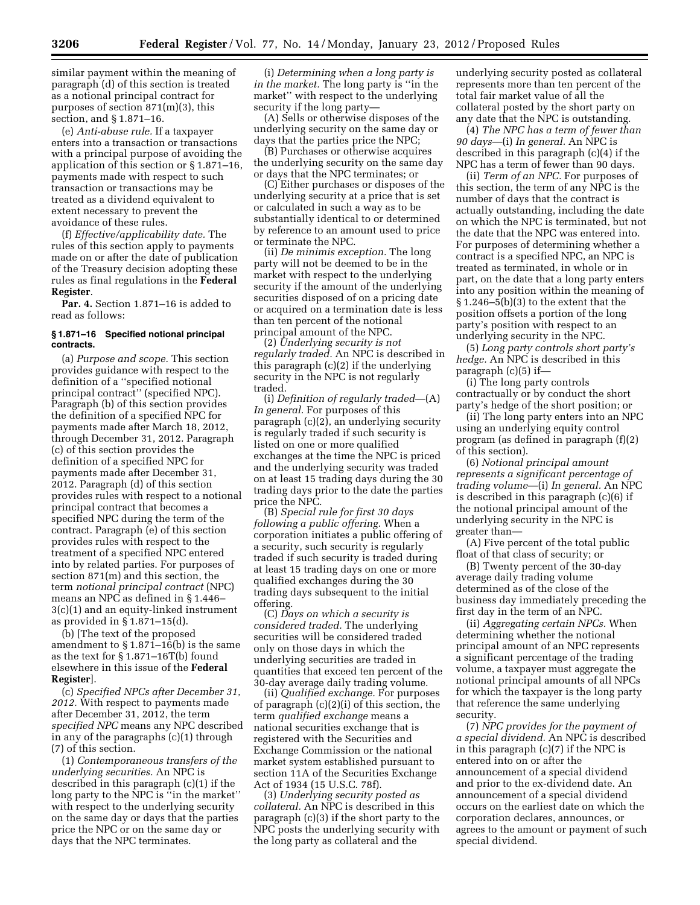similar payment within the meaning of paragraph (d) of this section is treated as a notional principal contract for purposes of section 871(m)(3), this section, and § 1.871–16.

(e) *Anti-abuse rule.* If a taxpayer enters into a transaction or transactions with a principal purpose of avoiding the application of this section or § 1.871–16, payments made with respect to such transaction or transactions may be treated as a dividend equivalent to extent necessary to prevent the avoidance of these rules.

(f) *Effective/applicability date.* The rules of this section apply to payments made on or after the date of publication of the Treasury decision adopting these rules as final regulations in the **Federal Register**.

**Par. 4.** Section 1.871–16 is added to read as follows:

## **§ 1.871–16 Specified notional principal contracts.**

(a) *Purpose and scope.* This section provides guidance with respect to the definition of a ''specified notional principal contract'' (specified NPC). Paragraph (b) of this section provides the definition of a specified NPC for payments made after March 18, 2012, through December 31, 2012. Paragraph (c) of this section provides the definition of a specified NPC for payments made after December 31, 2012. Paragraph (d) of this section provides rules with respect to a notional principal contract that becomes a specified NPC during the term of the contract. Paragraph (e) of this section provides rules with respect to the treatment of a specified NPC entered into by related parties. For purposes of section 871(m) and this section, the term *notional principal contract* (NPC) means an NPC as defined in § 1.446– 3(c)(1) and an equity-linked instrument as provided in § 1.871–15(d).

(b) [The text of the proposed amendment to § 1.871–16(b) is the same as the text for § 1.871–16T(b) found elsewhere in this issue of the **Federal Register**].

(c) *Specified NPCs after December 31, 2012.* With respect to payments made after December 31, 2012, the term *specified NPC* means any NPC described in any of the paragraphs (c)(1) through (7) of this section.

(1) *Contemporaneous transfers of the underlying securities.* An NPC is described in this paragraph (c)(1) if the long party to the NPC is ''in the market'' with respect to the underlying security on the same day or days that the parties price the NPC or on the same day or days that the NPC terminates.

(i) *Determining when a long party is in the market.* The long party is ''in the market'' with respect to the underlying security if the long party—

(A) Sells or otherwise disposes of the underlying security on the same day or days that the parties price the NPC;

(B) Purchases or otherwise acquires the underlying security on the same day or days that the NPC terminates; or

(C) Either purchases or disposes of the underlying security at a price that is set or calculated in such a way as to be substantially identical to or determined by reference to an amount used to price or terminate the NPC.

(ii) *De minimis exception.* The long party will not be deemed to be in the market with respect to the underlying security if the amount of the underlying securities disposed of on a pricing date or acquired on a termination date is less than ten percent of the notional principal amount of the NPC.

(2) *Underlying security is not regularly traded.* An NPC is described in this paragraph (c)(2) if the underlying security in the NPC is not regularly traded.

(i) *Definition of regularly traded*—(A) *In general.* For purposes of this paragraph (c)(2), an underlying security is regularly traded if such security is listed on one or more qualified exchanges at the time the NPC is priced and the underlying security was traded on at least 15 trading days during the 30 trading days prior to the date the parties price the NPC.

(B) *Special rule for first 30 days following a public offering.* When a corporation initiates a public offering of a security, such security is regularly traded if such security is traded during at least 15 trading days on one or more qualified exchanges during the 30 trading days subsequent to the initial offering.

(C) *Days on which a security is considered traded.* The underlying securities will be considered traded only on those days in which the underlying securities are traded in quantities that exceed ten percent of the 30-day average daily trading volume.

(ii) *Qualified exchange.* For purposes of paragraph (c)(2)(i) of this section, the term *qualified exchange* means a national securities exchange that is registered with the Securities and Exchange Commission or the national market system established pursuant to section 11A of the Securities Exchange Act of 1934 (15 U.S.C. 78f).

(3) *Underlying security posted as collateral.* An NPC is described in this paragraph (c)(3) if the short party to the NPC posts the underlying security with the long party as collateral and the

underlying security posted as collateral represents more than ten percent of the total fair market value of all the collateral posted by the short party on any date that the NPC is outstanding.

(4) *The NPC has a term of fewer than 90 days*—(i) *In general.* An NPC is described in this paragraph (c)(4) if the NPC has a term of fewer than 90 days.

(ii) *Term of an NPC.* For purposes of this section, the term of any NPC is the number of days that the contract is actually outstanding, including the date on which the NPC is terminated, but not the date that the NPC was entered into. For purposes of determining whether a contract is a specified NPC, an NPC is treated as terminated, in whole or in part, on the date that a long party enters into any position within the meaning of § 1.246–5(b)(3) to the extent that the position offsets a portion of the long party's position with respect to an underlying security in the NPC.

(5) *Long party controls short party's hedge.* An NPC is described in this paragraph (c)(5) if—

(i) The long party controls contractually or by conduct the short party's hedge of the short position; or

(ii) The long party enters into an NPC using an underlying equity control program (as defined in paragraph (f)(2) of this section).

(6) *Notional principal amount represents a significant percentage of trading volume*—(i) *In general.* An NPC is described in this paragraph (c)(6) if the notional principal amount of the underlying security in the NPC is greater than—

(A) Five percent of the total public float of that class of security; or

(B) Twenty percent of the 30-day average daily trading volume determined as of the close of the business day immediately preceding the first day in the term of an NPC.

(ii) *Aggregating certain NPCs.* When determining whether the notional principal amount of an NPC represents a significant percentage of the trading volume, a taxpayer must aggregate the notional principal amounts of all NPCs for which the taxpayer is the long party that reference the same underlying security.

(7) *NPC provides for the payment of a special dividend.* An NPC is described in this paragraph (c)(7) if the NPC is entered into on or after the announcement of a special dividend and prior to the ex-dividend date. An announcement of a special dividend occurs on the earliest date on which the corporation declares, announces, or agrees to the amount or payment of such special dividend.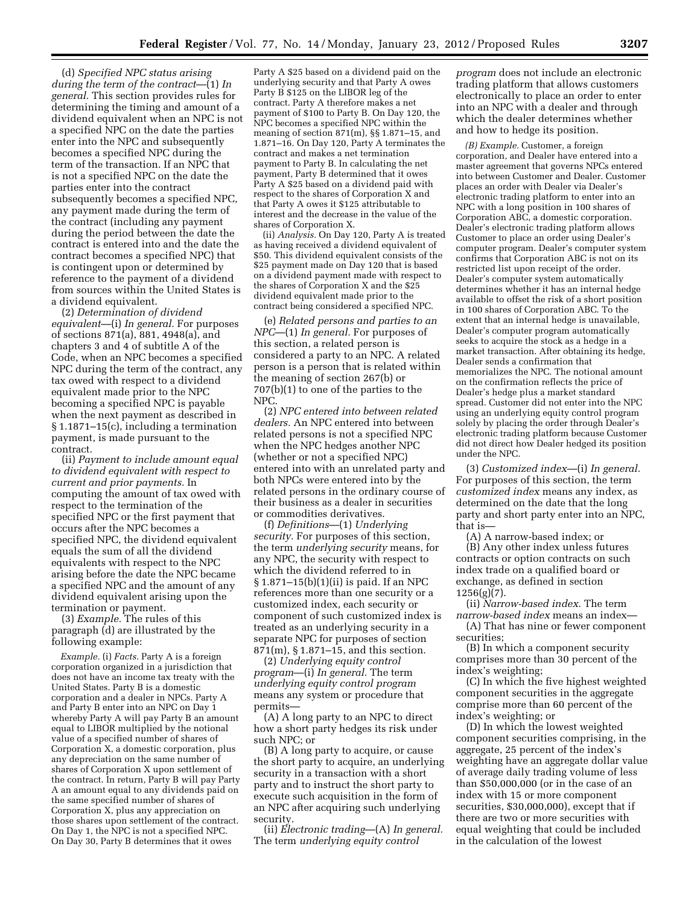(d) *Specified NPC status arising during the term of the contract*—(1) *In general.* This section provides rules for determining the timing and amount of a dividend equivalent when an NPC is not a specified NPC on the date the parties enter into the NPC and subsequently becomes a specified NPC during the term of the transaction. If an NPC that is not a specified NPC on the date the parties enter into the contract subsequently becomes a specified NPC, any payment made during the term of the contract (including any payment during the period between the date the contract is entered into and the date the contract becomes a specified NPC) that is contingent upon or determined by reference to the payment of a dividend from sources within the United States is a dividend equivalent.

(2) *Determination of dividend equivalent*—(i) *In general.* For purposes of sections 871(a), 881, 4948(a), and chapters 3 and 4 of subtitle A of the Code, when an NPC becomes a specified NPC during the term of the contract, any tax owed with respect to a dividend equivalent made prior to the NPC becoming a specified NPC is payable when the next payment as described in § 1.1871–15(c), including a termination payment, is made pursuant to the contract.

(ii) *Payment to include amount equal to dividend equivalent with respect to current and prior payments.* In computing the amount of tax owed with respect to the termination of the specified NPC or the first payment that occurs after the NPC becomes a specified NPC, the dividend equivalent equals the sum of all the dividend equivalents with respect to the NPC arising before the date the NPC became a specified NPC and the amount of any dividend equivalent arising upon the termination or payment.

(3) *Example.* The rules of this paragraph (d) are illustrated by the following example:

*Example.* (i) *Facts.* Party A is a foreign corporation organized in a jurisdiction that does not have an income tax treaty with the United States. Party B is a domestic corporation and a dealer in NPCs. Party A and Party B enter into an NPC on Day 1 whereby Party A will pay Party B an amount equal to LIBOR multiplied by the notional value of a specified number of shares of Corporation X, a domestic corporation, plus any depreciation on the same number of shares of Corporation X upon settlement of the contract. In return, Party B will pay Party A an amount equal to any dividends paid on the same specified number of shares of Corporation X, plus any appreciation on those shares upon settlement of the contract. On Day 1, the NPC is not a specified NPC. On Day 30, Party B determines that it owes

Party A \$25 based on a dividend paid on the underlying security and that Party A owes Party B \$125 on the LIBOR leg of the contract. Party A therefore makes a net payment of \$100 to Party B. On Day 120, the NPC becomes a specified NPC within the meaning of section 871(m), §§ 1.871–15, and 1.871–16. On Day 120, Party A terminates the contract and makes a net termination payment to Party B. In calculating the net payment, Party B determined that it owes Party A \$25 based on a dividend paid with respect to the shares of Corporation X and that Party A owes it \$125 attributable to interest and the decrease in the value of the shares of Corporation X.

(ii) *Analysis.* On Day 120, Party A is treated as having received a dividend equivalent of \$50. This dividend equivalent consists of the \$25 payment made on Day 120 that is based on a dividend payment made with respect to the shares of Corporation X and the \$25 dividend equivalent made prior to the contract being considered a specified NPC.

(e) *Related persons and parties to an NPC*—(1) *In general.* For purposes of this section, a related person is considered a party to an NPC. A related person is a person that is related within the meaning of section 267(b) or 707(b)(1) to one of the parties to the NPC.

(2) *NPC entered into between related dealers.* An NPC entered into between related persons is not a specified NPC when the NPC hedges another NPC (whether or not a specified NPC) entered into with an unrelated party and both NPCs were entered into by the related persons in the ordinary course of their business as a dealer in securities or commodities derivatives.

(f) *Definitions*—(1) *Underlying security.* For purposes of this section, the term *underlying security* means, for any NPC, the security with respect to which the dividend referred to in § 1.871–15(b)(1)(ii) is paid. If an NPC references more than one security or a customized index, each security or component of such customized index is treated as an underlying security in a separate NPC for purposes of section 871(m), § 1.871–15, and this section.

(2) *Underlying equity control program*—(i) *In general.* The term *underlying equity control program*  means any system or procedure that permits—

(A) A long party to an NPC to direct how a short party hedges its risk under such NPC; or

(B) A long party to acquire, or cause the short party to acquire, an underlying security in a transaction with a short party and to instruct the short party to execute such acquisition in the form of an NPC after acquiring such underlying security.

(ii) *Electronic trading*—(A) *In general.*  The term *underlying equity control* 

*program* does not include an electronic trading platform that allows customers electronically to place an order to enter into an NPC with a dealer and through which the dealer determines whether and how to hedge its position.

*(B) Example.* Customer, a foreign corporation, and Dealer have entered into a master agreement that governs NPCs entered into between Customer and Dealer. Customer places an order with Dealer via Dealer's electronic trading platform to enter into an NPC with a long position in 100 shares of Corporation ABC, a domestic corporation. Dealer's electronic trading platform allows Customer to place an order using Dealer's computer program. Dealer's computer system confirms that Corporation ABC is not on its restricted list upon receipt of the order. Dealer's computer system automatically determines whether it has an internal hedge available to offset the risk of a short position in 100 shares of Corporation ABC. To the extent that an internal hedge is unavailable, Dealer's computer program automatically seeks to acquire the stock as a hedge in a market transaction. After obtaining its hedge, Dealer sends a confirmation that memorializes the NPC. The notional amount on the confirmation reflects the price of Dealer's hedge plus a market standard spread. Customer did not enter into the NPC using an underlying equity control program solely by placing the order through Dealer's electronic trading platform because Customer did not direct how Dealer hedged its position under the NPC.

(3) *Customized index*—(i) *In general.*  For purposes of this section, the term *customized index* means any index, as determined on the date that the long party and short party enter into an NPC, that is—

(A) A narrow-based index; or (B) Any other index unless futures contracts or option contracts on such index trade on a qualified board or exchange, as defined in section  $1256(g)(7)$ .

(ii) *Narrow-based index.* The term *narrow-based index* means an index—

(A) That has nine or fewer component securities;

(B) In which a component security comprises more than 30 percent of the index's weighting;

(C) In which the five highest weighted component securities in the aggregate comprise more than 60 percent of the index's weighting; or

(D) In which the lowest weighted component securities comprising, in the aggregate, 25 percent of the index's weighting have an aggregate dollar value of average daily trading volume of less than \$50,000,000 (or in the case of an index with 15 or more component securities, \$30,000,000), except that if there are two or more securities with equal weighting that could be included in the calculation of the lowest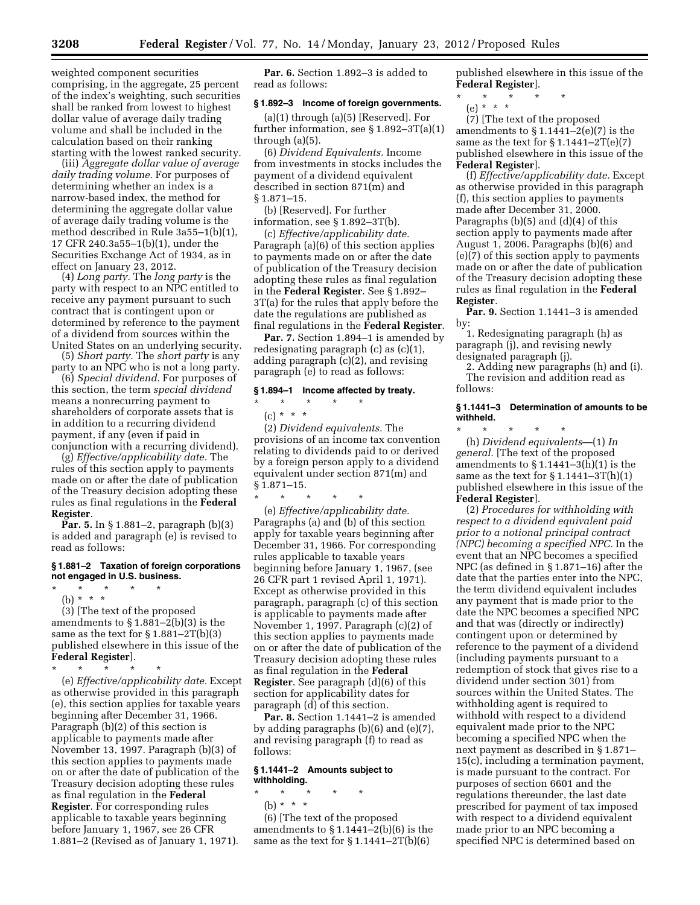weighted component securities comprising, in the aggregate, 25 percent of the index's weighting, such securities shall be ranked from lowest to highest dollar value of average daily trading volume and shall be included in the calculation based on their ranking starting with the lowest ranked security.

(iii) *Aggregate dollar value of average daily trading volume.* For purposes of determining whether an index is a narrow-based index, the method for determining the aggregate dollar value of average daily trading volume is the method described in Rule 3a55–1(b)(1), 17 CFR 240.3a55–1(b)(1), under the Securities Exchange Act of 1934, as in effect on January 23, 2012.

(4) *Long party.* The *long party* is the party with respect to an NPC entitled to receive any payment pursuant to such contract that is contingent upon or determined by reference to the payment of a dividend from sources within the United States on an underlying security.

(5) *Short party.* The *short party* is any party to an NPC who is not a long party.

(6) *Special dividend.* For purposes of this section, the term *special dividend*  means a nonrecurring payment to shareholders of corporate assets that is in addition to a recurring dividend payment, if any (even if paid in conjunction with a recurring dividend).

(g) *Effective/applicability date.* The rules of this section apply to payments made on or after the date of publication of the Treasury decision adopting these rules as final regulations in the **Federal Register**.

**Par. 5.** In § 1.881–2, paragraph (b)(3) is added and paragraph (e) is revised to read as follows:

#### **§ 1.881–2 Taxation of foreign corporations not engaged in U.S. business.**

\* \* \* \* \*

(b) \* \* \* (3) [The text of the proposed amendments to § 1.881–2(b)(3) is the same as the text for  $\S 1.881 - 2T(b)(3)$ published elsewhere in this issue of the **Federal Register**].

\* \* \* \* \*

(e) *Effective/applicability date.* Except as otherwise provided in this paragraph (e), this section applies for taxable years beginning after December 31, 1966. Paragraph (b)(2) of this section is applicable to payments made after November 13, 1997. Paragraph (b)(3) of this section applies to payments made on or after the date of publication of the Treasury decision adopting these rules as final regulation in the **Federal Register**. For corresponding rules applicable to taxable years beginning before January 1, 1967, see 26 CFR 1.881–2 (Revised as of January 1, 1971).

**Par. 6.** Section 1.892–3 is added to read as follows:

# **§ 1.892–3 Income of foreign governments.**

 $(a)(1)$  through  $(a)(5)$  [Reserved]. For further information, see § 1.892–3T(a)(1) through (a)(5).

(6) *Dividend Equivalents.* Income from investments in stocks includes the payment of a dividend equivalent described in section 871(m) and § 1.871–15.

(b) [Reserved]. For further information, see § 1.892–3T(b).

(c) *Effective/applicability date.*  Paragraph (a)(6) of this section applies to payments made on or after the date of publication of the Treasury decision adopting these rules as final regulation in the **Federal Register**. See § 1.892– 3T(a) for the rules that apply before the date the regulations are published as final regulations in the **Federal Register**.

**Par. 7.** Section 1.894–1 is amended by redesignating paragraph (c) as (c)(1), adding paragraph (c)(2), and revising paragraph (e) to read as follows:

## **§ 1.894–1 Income affected by treaty.**

\* \* \* \* \*

(c) \* \* \*

(2) *Dividend equivalents.* The provisions of an income tax convention relating to dividends paid to or derived by a foreign person apply to a dividend equivalent under section 871(m) and § 1.871–15.

\* \* \* \* \* (e) *Effective/applicability date.*  Paragraphs (a) and (b) of this section apply for taxable years beginning after December 31, 1966. For corresponding rules applicable to taxable years beginning before January 1, 1967, (see 26 CFR part 1 revised April 1, 1971). Except as otherwise provided in this paragraph, paragraph (c) of this section is applicable to payments made after November 1, 1997. Paragraph (c)(2) of this section applies to payments made on or after the date of publication of the Treasury decision adopting these rules as final regulation in the **Federal Register**. See paragraph (d)(6) of this section for applicability dates for paragraph (d) of this section.

**Par. 8.** Section 1.1441–2 is amended by adding paragraphs (b)(6) and (e)(7), and revising paragraph (f) to read as follows:

# **§ 1.1441–2 Amounts subject to withholding.**

- \* \* \* \* \*
- (b) \* \* \*

(6) [The text of the proposed amendments to  $\S 1.1441 - 2(b)(6)$  is the same as the text for  $\S 1.1441 - 2T(b)(6)$ 

published elsewhere in this issue of the **Federal Register**].

\* \* \* \* \*

(e) \* \* \* (7) [The text of the proposed amendments to  $\S 1.1441 - 2(e)(7)$  is the same as the text for  $\S 1.1441 - 2T(e)(7)$ published elsewhere in this issue of the **Federal Register**].

(f) *Effective/applicability date.* Except as otherwise provided in this paragraph (f), this section applies to payments made after December 31, 2000. Paragraphs (b)(5) and (d)(4) of this section apply to payments made after August 1, 2006. Paragraphs (b)(6) and (e)(7) of this section apply to payments made on or after the date of publication of the Treasury decision adopting these rules as final regulation in the **Federal Register**.

**Par. 9.** Section 1.1441–3 is amended by:

1. Redesignating paragraph (h) as paragraph (j), and revising newly designated paragraph (j).

2. Adding new paragraphs (h) and (i). The revision and addition read as follows:

#### **§ 1.1441–3 Determination of amounts to be withheld.**

\* \* \* \* \* (h) *Dividend equivalents*—(1) *In general.* [The text of the proposed amendments to  $\S 1.1441 - 3(h)(1)$  is the same as the text for  $\S 1.1441 - 3T(h)(1)$ published elsewhere in this issue of the **Federal Register**].

(2) *Procedures for withholding with respect to a dividend equivalent paid prior to a notional principal contract (NPC) becoming a specified NPC.* In the event that an NPC becomes a specified NPC (as defined in § 1.871–16) after the date that the parties enter into the NPC, the term dividend equivalent includes any payment that is made prior to the date the NPC becomes a specified NPC and that was (directly or indirectly) contingent upon or determined by reference to the payment of a dividend (including payments pursuant to a redemption of stock that gives rise to a dividend under section 301) from sources within the United States. The withholding agent is required to withhold with respect to a dividend equivalent made prior to the NPC becoming a specified NPC when the next payment as described in § 1.871– 15(c), including a termination payment, is made pursuant to the contract. For purposes of section 6601 and the regulations thereunder, the last date prescribed for payment of tax imposed with respect to a dividend equivalent made prior to an NPC becoming a specified NPC is determined based on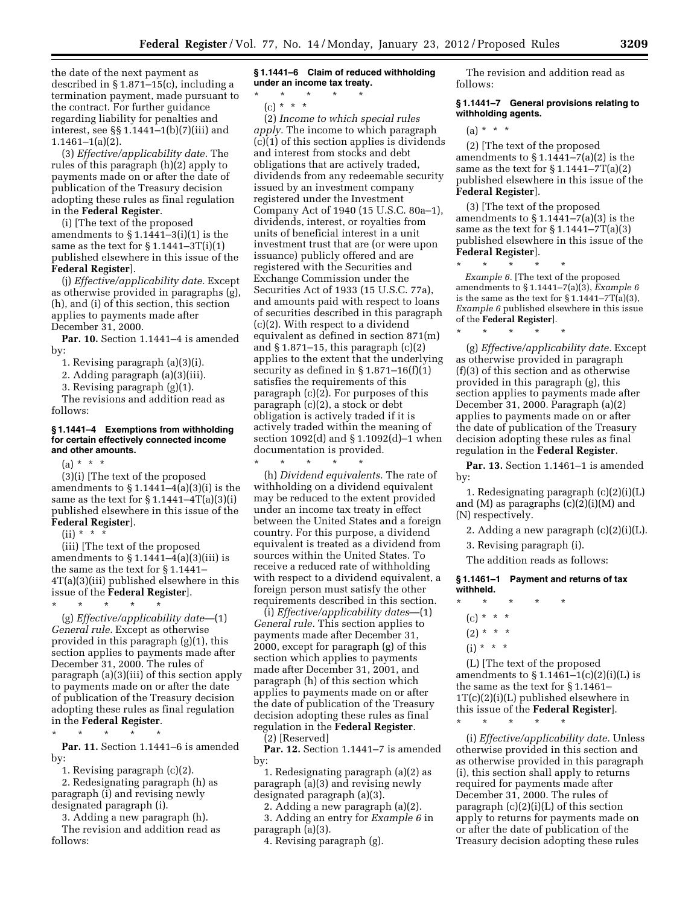the date of the next payment as described in § 1.871–15(c), including a termination payment, made pursuant to the contract. For further guidance regarding liability for penalties and interest, see §§ 1.1441–1(b)(7)(iii) and 1.1461–1(a)(2).

(3) *Effective/applicability date.* The rules of this paragraph (h)(2) apply to payments made on or after the date of publication of the Treasury decision adopting these rules as final regulation in the **Federal Register**.

(i) [The text of the proposed amendments to  $\S 1.1441 - 3(i)(1)$  is the same as the text for  $\S 1.1441 - 3T(i)(1)$ published elsewhere in this issue of the **Federal Register**].

(j) *Effective/applicability date.* Except as otherwise provided in paragraphs (g), (h), and (i) of this section, this section applies to payments made after December 31, 2000.

**Par. 10.** Section 1.1441–4 is amended by:

1. Revising paragraph (a)(3)(i).

2. Adding paragraph (a)(3)(iii).

3. Revising paragraph (g)(1).

The revisions and addition read as follows:

#### **§ 1.1441–4 Exemptions from withholding for certain effectively connected income and other amounts.**

(a) \* \* \*

(3)(i) [The text of the proposed amendments to  $\S 1.1441 - 4(a)(3)(i)$  is the same as the text for  $\S 1.1441 - 4T(a)(3)(i)$ published elsewhere in this issue of the **Federal Register**].

 $(ii) * * * *$ 

(iii) [The text of the proposed amendments to  $\S 1.1441 - 4(a)(3)(iii)$  is the same as the text for § 1.1441– 4T(a)(3)(iii) published elsewhere in this issue of the **Federal Register**].

\* \* \* \* \* (g) *Effective/applicability date*—(1) *General rule.* Except as otherwise provided in this paragraph (g)(1), this section applies to payments made after December 31, 2000. The rules of paragraph (a)(3)(iii) of this section apply to payments made on or after the date of publication of the Treasury decision adopting these rules as final regulation in the **Federal Register**.

\* \* \* \* \*

**Par. 11.** Section 1.1441–6 is amended by:

1. Revising paragraph (c)(2).

2. Redesignating paragraph (h) as paragraph (i) and revising newly designated paragraph (i).

3. Adding a new paragraph (h). The revision and addition read as follows:

**§ 1.1441–6 Claim of reduced withholding under an income tax treaty.** 

\* \* \* \* \* (c) \* \* \*

(2) *Income to which special rules apply.* The income to which paragraph (c)(1) of this section applies is dividends and interest from stocks and debt obligations that are actively traded, dividends from any redeemable security issued by an investment company registered under the Investment Company Act of 1940 (15 U.S.C. 80a–1), dividends, interest, or royalties from units of beneficial interest in a unit investment trust that are (or were upon issuance) publicly offered and are registered with the Securities and Exchange Commission under the Securities Act of 1933 (15 U.S.C. 77a), and amounts paid with respect to loans of securities described in this paragraph (c)(2). With respect to a dividend equivalent as defined in section 871(m) and  $§ 1.871-15$ , this paragraph  $(c)(2)$ applies to the extent that the underlying security as defined in  $\S 1.871-16(f)(1)$ satisfies the requirements of this paragraph (c)(2). For purposes of this paragraph (c)(2), a stock or debt obligation is actively traded if it is actively traded within the meaning of section 1092(d) and § 1.1092(d)–1 when documentation is provided.

\* \* \* \* \* (h) *Dividend equivalents.* The rate of withholding on a dividend equivalent may be reduced to the extent provided under an income tax treaty in effect between the United States and a foreign country. For this purpose, a dividend equivalent is treated as a dividend from sources within the United States. To receive a reduced rate of withholding with respect to a dividend equivalent, a foreign person must satisfy the other requirements described in this section.

(i) *Effective/applicability dates*—(1) *General rule.* This section applies to payments made after December 31, 2000, except for paragraph (g) of this section which applies to payments made after December 31, 2001, and paragraph (h) of this section which applies to payments made on or after the date of publication of the Treasury decision adopting these rules as final regulation in the **Federal Register**.

(2) [Reserved]

**Par. 12.** Section 1.1441–7 is amended by:

1. Redesignating paragraph (a)(2) as paragraph (a)(3) and revising newly designated paragraph (a)(3).

2. Adding a new paragraph (a)(2). 3. Adding an entry for *Example 6* in paragraph (a)(3).

4. Revising paragraph (g).

The revision and addition read as follows:

#### **§ 1.1441–7 General provisions relating to withholding agents.**

(a) \* \* \*

(2) [The text of the proposed amendments to  $\S 1.1441 - 7(a)(2)$  is the same as the text for  $\S 1.1441 - 7T(a)(2)$ published elsewhere in this issue of the **Federal Register**].

(3) [The text of the proposed amendments to  $\S 1.1441 - 7(a)(3)$  is the same as the text for  $\S 1.1441 - 7T(a)(3)$ published elsewhere in this issue of the **Federal Register**].

\* \* \* \* \* *Example 6.* [The text of the proposed amendments to § 1.1441–7(a)(3), *Example 6*  is the same as the text for  $\S 1.1441 - 7T(a)(3)$ , *Example 6* published elsewhere in this issue of the **Federal Register**].

\* \* \* \* \*

(g) *Effective/applicability date.* Except as otherwise provided in paragraph (f)(3) of this section and as otherwise provided in this paragraph (g), this section applies to payments made after December 31, 2000. Paragraph (a)(2) applies to payments made on or after the date of publication of the Treasury decision adopting these rules as final regulation in the **Federal Register**.

**Par. 13.** Section 1.1461–1 is amended by:

1. Redesignating paragraph (c)(2)(i)(L) and (M) as paragraphs (c)(2)(i)(M) and (N) respectively.

2. Adding a new paragraph (c)(2)(i)(L).

3. Revising paragraph (i).

The addition reads as follows:

# **§ 1.1461–1 Payment and returns of tax withheld.**

\* \* \* \* \*  $(c) * * * *$ 

 $(2) * * * *$ 

 $(i) * * * *$ 

(L) [The text of the proposed amendments to  $\S 1.1461 - 1(c)(2)(i)(L)$  is the same as the text for § 1.1461– 1T(c)(2)(i)(L) published elsewhere in this issue of the **Federal Register**].

\* \* \* \* \*

(i) *Effective/applicability date.* Unless otherwise provided in this section and as otherwise provided in this paragraph (i), this section shall apply to returns required for payments made after December 31, 2000. The rules of paragraph  $(c)(2)(i)(L)$  of this section apply to returns for payments made on or after the date of publication of the Treasury decision adopting these rules